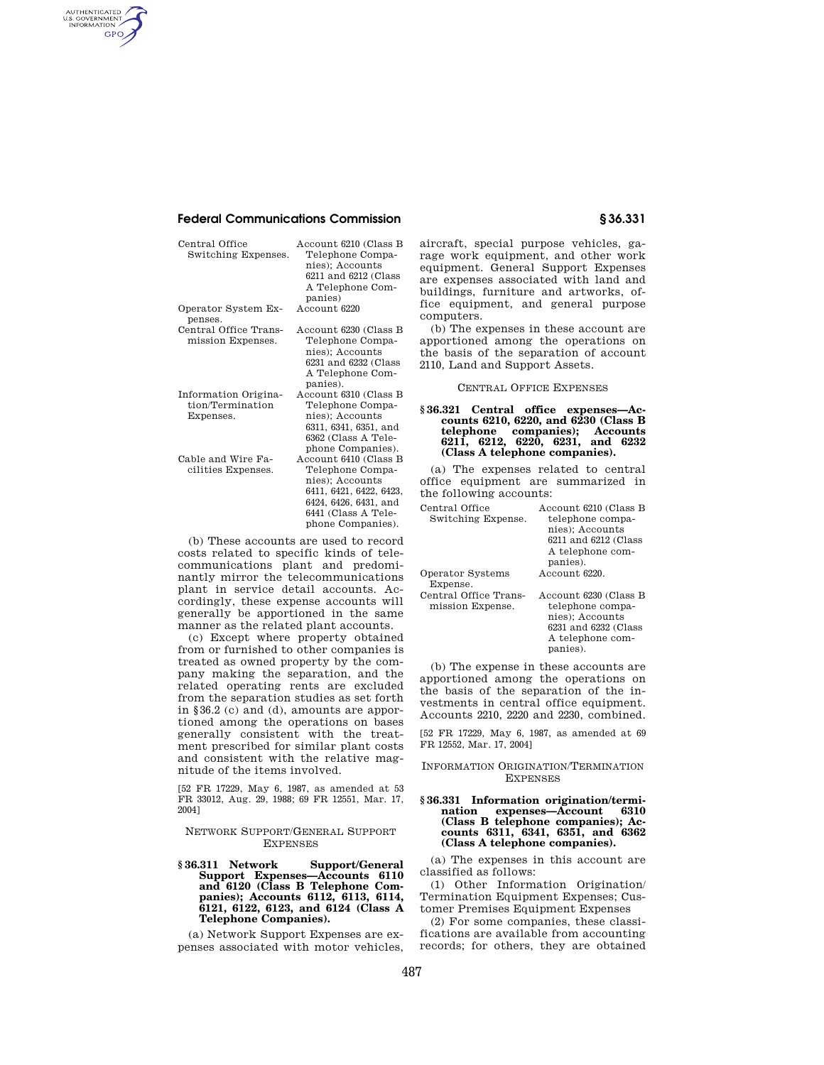# **Federal Communications Commission § 36.331**

AUTHENTICATED<br>U.S. GOVERNMENT<br>INFORMATION **GPO** 

| Central Office<br>Switching Expenses.                 | Account 6210 (Class B<br>Telephone Compa-<br>nies); Accounts<br>6211 and 6212 (Class<br>A Telephone Com-<br>panies)                                          |
|-------------------------------------------------------|--------------------------------------------------------------------------------------------------------------------------------------------------------------|
| Operator System Ex-<br>penses.                        | Account 6220                                                                                                                                                 |
| Central Office Trans-<br>mission Expenses.            | Account 6230 (Class B<br>Telephone Compa-<br>nies); Accounts<br>6231 and 6232 (Class<br>A Telephone Com-<br>panies).                                         |
| Information Origina-<br>tion/Termination<br>Expenses. | Account 6310 (Class B<br>Telephone Compa-<br>nies); Accounts<br>6311, 6341, 6351, and<br>6362 (Class A Tele-<br>phone Companies).                            |
| Cable and Wire Fa-<br>cilities Expenses.              | Account 6410 (Class B<br>Telephone Compa-<br>nies); Accounts<br>6411, 6421, 6422, 6423,<br>6424, 6426, 6431, and<br>6441 (Class A Tele-<br>phone Companies). |

(b) These accounts are used to record costs related to specific kinds of telecommunications plant and predominantly mirror the telecommunications plant in service detail accounts. Accordingly, these expense accounts will generally be apportioned in the same manner as the related plant accounts.

(c) Except where property obtained from or furnished to other companies is treated as owned property by the company making the separation, and the related operating rents are excluded from the separation studies as set forth in §36.2 (c) and (d), amounts are apportioned among the operations on bases generally consistent with the treatment prescribed for similar plant costs and consistent with the relative magnitude of the items involved.

[52 FR 17229, May 6, 1987, as amended at 53 FR 33012, Aug. 29, 1988; 69 FR 12551, Mar. 17, 2004]

NETWORK SUPPORT/GENERAL SUPPORT **EXPENSES** 

**§ 36.311 Network Support/General Support Expenses—Accounts 6110 and 6120 (Class B Telephone Companies); Accounts 6112, 6113, 6114, 6121, 6122, 6123, and 6124 (Class A Telephone Companies).** 

(a) Network Support Expenses are expenses associated with motor vehicles, aircraft, special purpose vehicles, garage work equipment, and other work equipment. General Support Expenses are expenses associated with land and buildings, furniture and artworks, office equipment, and general purpose computers.

(b) The expenses in these account are apportioned among the operations on the basis of the separation of account 2110, Land and Support Assets.

### CENTRAL OFFICE EXPENSES

#### **§ 36.321 Central office expenses—Accounts 6210, 6220, and 6230 (Class B telephone companies); Accounts 6211, 6212, 6220, 6231, and 6232 (Class A telephone companies).**

(a) The expenses related to central office equipment are summarized in the following accounts:

| Central Office        | Account 6210 (Class B |
|-----------------------|-----------------------|
| Switching Expense.    | telephone compa-      |
|                       | nies); Accounts       |
|                       | 6211 and 6212 (Class  |
|                       | A telephone com-      |
|                       | panies).              |
| Operator Systems      | Account 6220.         |
| Expense.              |                       |
| Central Office Trans- | Account 6230 (Class B |
| mission Expense.      | telephone compa-      |
|                       | nies); Accounts       |

6231 and 6232 (Class A telephone companies). (b) The expense in these accounts are

apportioned among the operations on the basis of the separation of the investments in central office equipment. Accounts 2210, 2220 and 2230, combined.

[52 FR 17229, May 6, 1987, as amended at 69 FR 12552, Mar. 17, 2004]

#### INFORMATION ORIGINATION/TERMINATION EXPENSES

**§ 36.331 Information origination/termination expenses—Account 6310 (Class B telephone companies); Accounts 6311, 6341, 6351, and 6362 (Class A telephone companies).** 

(a) The expenses in this account are classified as follows:

(1) Other Information Origination/ Termination Equipment Expenses; Customer Premises Equipment Expenses

(2) For some companies, these classifications are available from accounting records; for others, they are obtained